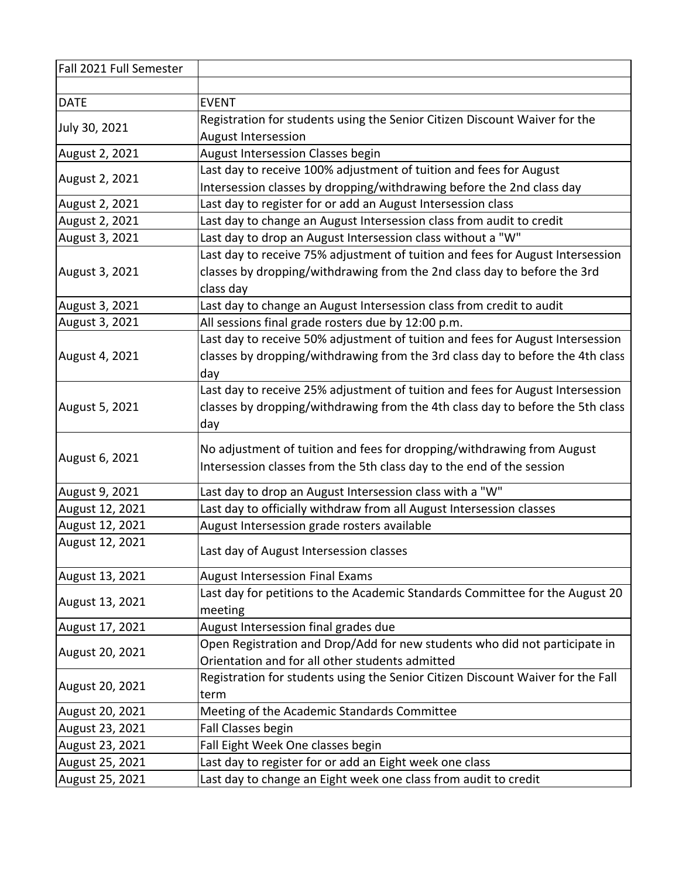| Fall 2021 Full Semester |                                                                                 |
|-------------------------|---------------------------------------------------------------------------------|
|                         |                                                                                 |
| <b>DATE</b>             | <b>EVENT</b>                                                                    |
| July 30, 2021           | Registration for students using the Senior Citizen Discount Waiver for the      |
|                         | <b>August Intersession</b>                                                      |
| August 2, 2021          | August Intersession Classes begin                                               |
|                         | Last day to receive 100% adjustment of tuition and fees for August              |
| August 2, 2021          | Intersession classes by dropping/withdrawing before the 2nd class day           |
| August 2, 2021          | Last day to register for or add an August Intersession class                    |
| August 2, 2021          | Last day to change an August Intersession class from audit to credit            |
| August 3, 2021          | Last day to drop an August Intersession class without a "W"                     |
|                         | Last day to receive 75% adjustment of tuition and fees for August Intersession  |
| August 3, 2021          | classes by dropping/withdrawing from the 2nd class day to before the 3rd        |
|                         | class day                                                                       |
| August 3, 2021          | Last day to change an August Intersession class from credit to audit            |
| August 3, 2021          | All sessions final grade rosters due by 12:00 p.m.                              |
|                         | Last day to receive 50% adjustment of tuition and fees for August Intersession  |
| August 4, 2021          | classes by dropping/withdrawing from the 3rd class day to before the 4th class  |
|                         | day                                                                             |
|                         | Last day to receive 25% adjustment of tuition and fees for August Intersession  |
| August 5, 2021          | classes by dropping/withdrawing from the 4th class day to before the 5th class  |
|                         | day                                                                             |
|                         | No adjustment of tuition and fees for dropping/withdrawing from August          |
| August 6, 2021          | Intersession classes from the 5th class day to the end of the session           |
|                         |                                                                                 |
| August 9, 2021          | Last day to drop an August Intersession class with a "W"                        |
| August 12, 2021         | Last day to officially withdraw from all August Intersession classes            |
| August 12, 2021         | August Intersession grade rosters available                                     |
| August 12, 2021         | Last day of August Intersession classes                                         |
| August 13, 2021         | <b>August Intersession Final Exams</b>                                          |
|                         | Last day for petitions to the Academic Standards Committee for the August 20    |
| August 13, 2021         | meeting                                                                         |
| August 17, 2021         | August Intersession final grades due                                            |
|                         | Open Registration and Drop/Add for new students who did not participate in      |
| August 20, 2021         | Orientation and for all other students admitted                                 |
| August 20, 2021         | Registration for students using the Senior Citizen Discount Waiver for the Fall |
|                         | term                                                                            |
| August 20, 2021         | Meeting of the Academic Standards Committee                                     |
| August 23, 2021         | Fall Classes begin                                                              |
| August 23, 2021         | Fall Eight Week One classes begin                                               |
| August 25, 2021         | Last day to register for or add an Eight week one class                         |
| August 25, 2021         | Last day to change an Eight week one class from audit to credit                 |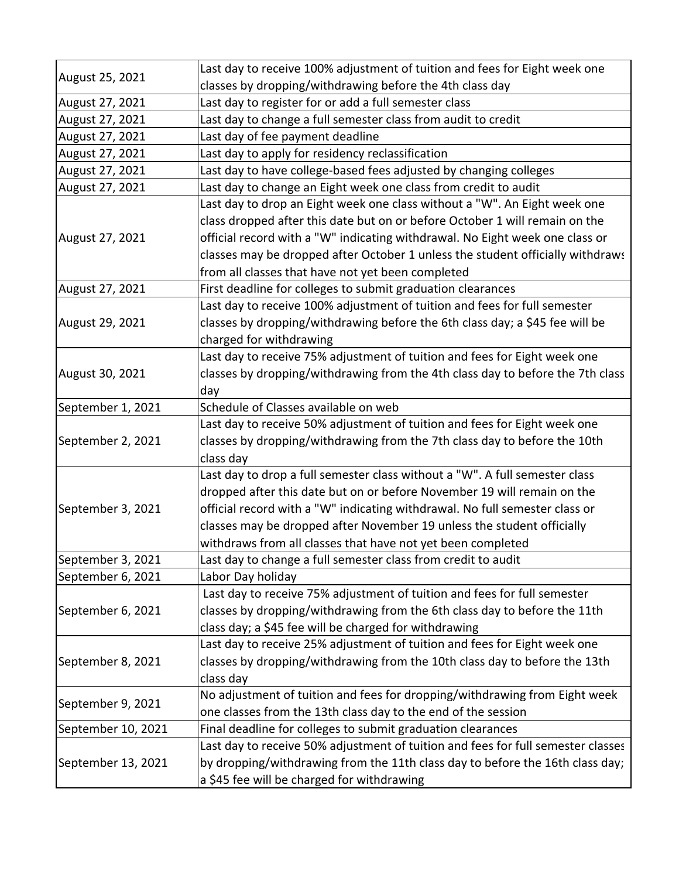| August 25, 2021    | Last day to receive 100% adjustment of tuition and fees for Eight week one       |
|--------------------|----------------------------------------------------------------------------------|
|                    | classes by dropping/withdrawing before the 4th class day                         |
| August 27, 2021    | Last day to register for or add a full semester class                            |
| August 27, 2021    | Last day to change a full semester class from audit to credit                    |
| August 27, 2021    | Last day of fee payment deadline                                                 |
| August 27, 2021    | Last day to apply for residency reclassification                                 |
| August 27, 2021    | Last day to have college-based fees adjusted by changing colleges                |
| August 27, 2021    | Last day to change an Eight week one class from credit to audit                  |
| August 27, 2021    | Last day to drop an Eight week one class without a "W". An Eight week one        |
|                    | class dropped after this date but on or before October 1 will remain on the      |
|                    | official record with a "W" indicating withdrawal. No Eight week one class or     |
|                    | classes may be dropped after October 1 unless the student officially withdraws   |
|                    | from all classes that have not yet been completed                                |
| August 27, 2021    | First deadline for colleges to submit graduation clearances                      |
|                    | Last day to receive 100% adjustment of tuition and fees for full semester        |
| August 29, 2021    | classes by dropping/withdrawing before the 6th class day; a \$45 fee will be     |
|                    | charged for withdrawing                                                          |
|                    | Last day to receive 75% adjustment of tuition and fees for Eight week one        |
| August 30, 2021    | classes by dropping/withdrawing from the 4th class day to before the 7th class   |
|                    | day                                                                              |
| September 1, 2021  | Schedule of Classes available on web                                             |
|                    | Last day to receive 50% adjustment of tuition and fees for Eight week one        |
| September 2, 2021  | classes by dropping/withdrawing from the 7th class day to before the 10th        |
|                    | class day                                                                        |
|                    | Last day to drop a full semester class without a "W". A full semester class      |
|                    | dropped after this date but on or before November 19 will remain on the          |
| September 3, 2021  | official record with a "W" indicating withdrawal. No full semester class or      |
|                    | classes may be dropped after November 19 unless the student officially           |
|                    | withdraws from all classes that have not yet been completed                      |
| September 3, 2021  | Last day to change a full semester class from credit to audit                    |
| September 6, 2021  | Labor Day holiday                                                                |
|                    | Last day to receive 75% adjustment of tuition and fees for full semester         |
| September 6, 2021  | classes by dropping/withdrawing from the 6th class day to before the 11th        |
|                    | class day; a \$45 fee will be charged for withdrawing                            |
|                    | Last day to receive 25% adjustment of tuition and fees for Eight week one        |
| September 8, 2021  | classes by dropping/withdrawing from the 10th class day to before the 13th       |
|                    | class day                                                                        |
| September 9, 2021  | No adjustment of tuition and fees for dropping/withdrawing from Eight week       |
|                    | one classes from the 13th class day to the end of the session                    |
| September 10, 2021 | Final deadline for colleges to submit graduation clearances                      |
|                    | Last day to receive 50% adjustment of tuition and fees for full semester classes |
| September 13, 2021 | by dropping/withdrawing from the 11th class day to before the 16th class day;    |
|                    | a \$45 fee will be charged for withdrawing                                       |
|                    |                                                                                  |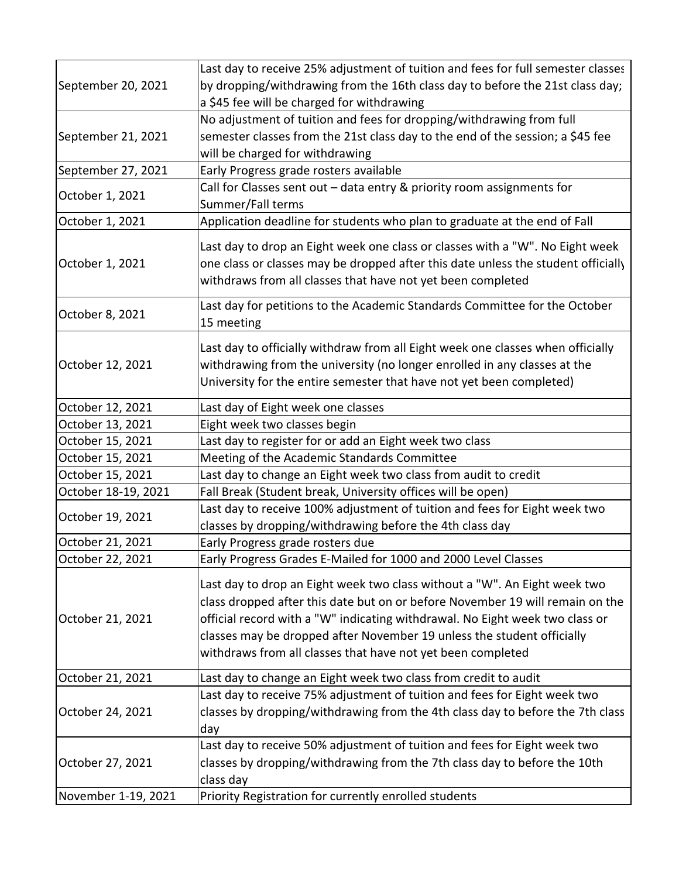| September 20, 2021  | Last day to receive 25% adjustment of tuition and fees for full semester classes                                                                                                                                                                                                                                                                                                    |
|---------------------|-------------------------------------------------------------------------------------------------------------------------------------------------------------------------------------------------------------------------------------------------------------------------------------------------------------------------------------------------------------------------------------|
|                     | by dropping/withdrawing from the 16th class day to before the 21st class day;                                                                                                                                                                                                                                                                                                       |
|                     | a \$45 fee will be charged for withdrawing                                                                                                                                                                                                                                                                                                                                          |
| September 21, 2021  | No adjustment of tuition and fees for dropping/withdrawing from full                                                                                                                                                                                                                                                                                                                |
|                     | semester classes from the 21st class day to the end of the session; a \$45 fee                                                                                                                                                                                                                                                                                                      |
|                     | will be charged for withdrawing                                                                                                                                                                                                                                                                                                                                                     |
| September 27, 2021  | Early Progress grade rosters available                                                                                                                                                                                                                                                                                                                                              |
|                     | Call for Classes sent out - data entry & priority room assignments for                                                                                                                                                                                                                                                                                                              |
| October 1, 2021     | Summer/Fall terms                                                                                                                                                                                                                                                                                                                                                                   |
| October 1, 2021     | Application deadline for students who plan to graduate at the end of Fall                                                                                                                                                                                                                                                                                                           |
| October 1, 2021     | Last day to drop an Eight week one class or classes with a "W". No Eight week<br>one class or classes may be dropped after this date unless the student officially<br>withdraws from all classes that have not yet been completed                                                                                                                                                   |
| October 8, 2021     | Last day for petitions to the Academic Standards Committee for the October<br>15 meeting                                                                                                                                                                                                                                                                                            |
| October 12, 2021    | Last day to officially withdraw from all Eight week one classes when officially<br>withdrawing from the university (no longer enrolled in any classes at the<br>University for the entire semester that have not yet been completed)                                                                                                                                                |
|                     |                                                                                                                                                                                                                                                                                                                                                                                     |
| October 12, 2021    | Last day of Eight week one classes                                                                                                                                                                                                                                                                                                                                                  |
| October 13, 2021    | Eight week two classes begin                                                                                                                                                                                                                                                                                                                                                        |
| October 15, 2021    | Last day to register for or add an Eight week two class                                                                                                                                                                                                                                                                                                                             |
| October 15, 2021    | Meeting of the Academic Standards Committee                                                                                                                                                                                                                                                                                                                                         |
| October 15, 2021    | Last day to change an Eight week two class from audit to credit                                                                                                                                                                                                                                                                                                                     |
| October 18-19, 2021 | Fall Break (Student break, University offices will be open)                                                                                                                                                                                                                                                                                                                         |
| October 19, 2021    | Last day to receive 100% adjustment of tuition and fees for Eight week two                                                                                                                                                                                                                                                                                                          |
|                     | classes by dropping/withdrawing before the 4th class day                                                                                                                                                                                                                                                                                                                            |
| October 21, 2021    | Early Progress grade rosters due                                                                                                                                                                                                                                                                                                                                                    |
| October 22, 2021    | Early Progress Grades E-Mailed for 1000 and 2000 Level Classes                                                                                                                                                                                                                                                                                                                      |
| October 21, 2021    | Last day to drop an Eight week two class without a "W". An Eight week two<br>class dropped after this date but on or before November 19 will remain on the<br>official record with a "W" indicating withdrawal. No Eight week two class or<br>classes may be dropped after November 19 unless the student officially<br>withdraws from all classes that have not yet been completed |
| October 21, 2021    | Last day to change an Eight week two class from credit to audit                                                                                                                                                                                                                                                                                                                     |
| October 24, 2021    | Last day to receive 75% adjustment of tuition and fees for Eight week two                                                                                                                                                                                                                                                                                                           |
|                     | classes by dropping/withdrawing from the 4th class day to before the 7th class<br>day                                                                                                                                                                                                                                                                                               |
| October 27, 2021    | Last day to receive 50% adjustment of tuition and fees for Eight week two                                                                                                                                                                                                                                                                                                           |
|                     | classes by dropping/withdrawing from the 7th class day to before the 10th<br>class day                                                                                                                                                                                                                                                                                              |
| November 1-19, 2021 | Priority Registration for currently enrolled students                                                                                                                                                                                                                                                                                                                               |